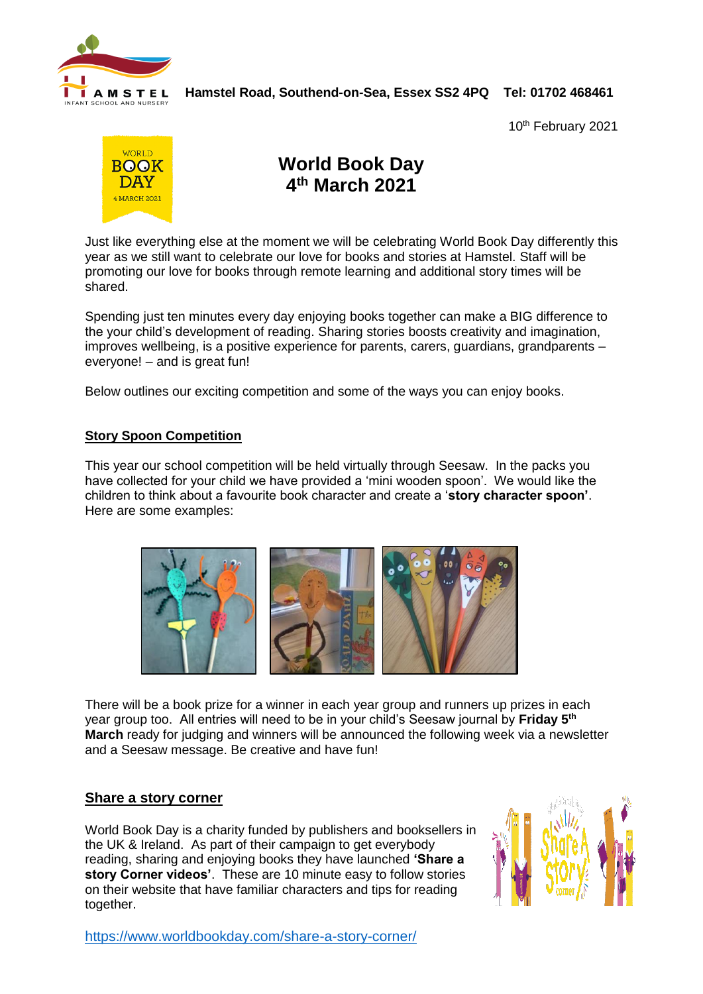

# **H A M S T E L Hamstel Road, Southend-on-Sea, Essex SS2 4PQ Tel: 01702 468461**

10<sup>th</sup> February 2021



## **World Book Day 4 th March 2021**

Just like everything else at the moment we will be celebrating World Book Day differently this year as we still want to celebrate our love for books and stories at Hamstel. Staff will be promoting our love for books through remote learning and additional story times will be shared.

Spending just ten minutes every day enjoying books together can make a BIG difference to the your child's development of reading. Sharing stories boosts creativity and imagination, improves wellbeing, is a positive experience for parents, carers, guardians, grandparents – everyone! – and is great fun!

Below outlines our exciting competition and some of the ways you can enjoy books.

#### **Story Spoon Competition**

This year our school competition will be held virtually through Seesaw. In the packs you have collected for your child we have provided a 'mini wooden spoon'. We would like the children to think about a favourite book character and create a '**story character spoon'**. Here are some examples:



There will be a book prize for a winner in each year group and runners up prizes in each year group too. All entries will need to be in your child's Seesaw journal by **Friday 5th March** ready for judging and winners will be announced the following week via a newsletter and a Seesaw message. Be creative and have fun!

#### **Share a story corner**

World Book Day is a charity funded by publishers and booksellers in the UK & Ireland. As part of their campaign to get everybody reading, sharing and enjoying books they have launched **'Share a story Corner videos'**. These are 10 minute easy to follow stories on their website that have familiar characters and tips for reading together.